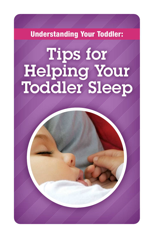Understanding Your Toddler:

# Tips for Helping Your Toddler Sleep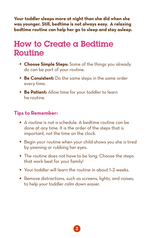**Your toddler sleeps more at night than she did when she was younger. Still, bedtime is not always easy. A relaxing bedtime routine can help her go to sleep and stay asleep.** 

## How to Create a Bedtime Routine

- Choose Simple Steps: Some of the things you already do can be part of your routine.
- **Be Consistent:** Do the same steps in the same order every time.
- **Be Patient:** Allow time for your toddler to learn he routine.

### **Tips to Remember:**

- A routine is not a schedule. A bedtime routine can be done at any time. It is the order of the steps that is important, not the time on the clock.
- Begin your routine when your child shows you she is tired by yawning or rubbing her eyes.
- The routine does not have to be long. Choose the steps that work best for your family!
- Your toddler will learn the routine in about 1-2 weeks.
- Remove distractions, such as screens, lights, and noises, to help your toddler calm down easier.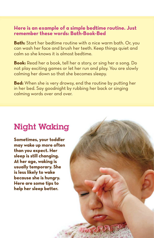#### **Here is an example of a simple bedtime routine. Just remember these words: Bath-Book-Bed**

**Bath:** Start her bedtime routine with a nice warm bath. Or, you can wash her face and brush her teeth. Keep things quiet and calm so she knows it is almost bedtime.

**Book:** Read her a book, tell her a story, or sing her a song. Do not play exciting games or let her run and play. You are slowly calming her down so that she becomes sleepy.

**Bed:** When she is very drowsy, end the routine by putting her in her bed. Say goodnight by rubbing her back or singing calming words over and over.

3

## Night Waking

**Sometimes, your toddler may wake up more often than you expect. Her sleep is still changing. At her age, waking is usually temporary. She is less likely to wake because she is hungry. Here are some tips to help her sleep better.**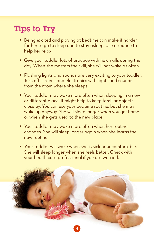## Tips to Try

- Being excited and playing at bedtime can make it harder for her to go to sleep and to stay asleep. Use a routine to help her relax.
- Give your toddler lots of practice with new skills during the day. When she masters the skill, she will not wake as often.
- Flashing lights and sounds are very exciting to your toddler. Turn off screens and electronics with lights and sounds from the room where she sleeps.
- Your toddler may wake more often when sleeping in <sup>a</sup> new or different place. It might help to keep familiar objects close by. You can use your bedtime routine, but she may wake up anyway. She will sleep longer when you get home or when she gets used to the new place.
- Your toddler may wake more often when her routine changes. She will sleep longer again when she learns the new routine.
- Your toddler will wake when she is sick or uncomfortable. She will sleep longer when she feels better. Check with your health care professional if you are worried.